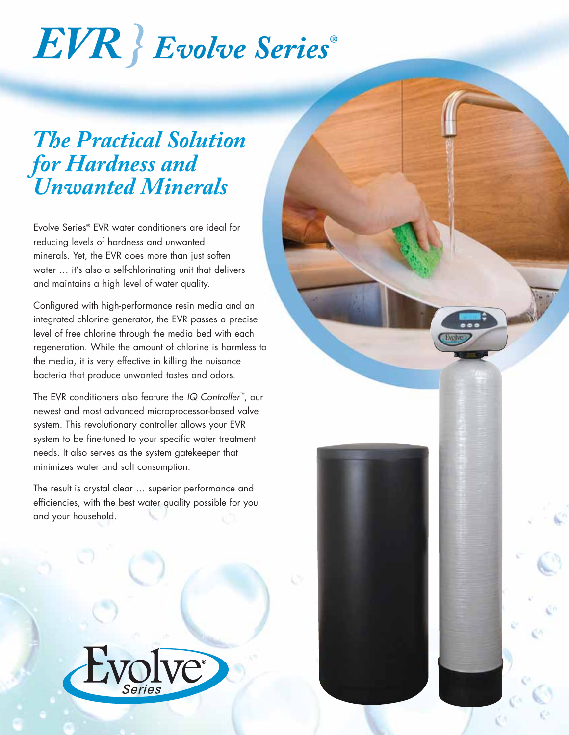# *EVR } Evolve Series®*

### *The Practical Solution for Hardness and Unwanted Minerals*

Evolve Series® EVR water conditioners are ideal for reducing levels of hardness and unwanted minerals. Yet, the EVR does more than just soften water … it's also a self-chlorinating unit that delivers and maintains a high level of water quality.

Configured with high-performance resin media and an integrated chlorine generator, the EVR passes a precise level of free chlorine through the media bed with each regeneration. While the amount of chlorine is harmless to the media, it is very effective in killing the nuisance bacteria that produce unwanted tastes and odors.

The EVR conditioners also feature the *IQ Controller™*, our newest and most advanced microprocessor-based valve system. This revolutionary controller allows your EVR system to be fine-tuned to your specific water treatment needs. It also serves as the system gatekeeper that minimizes water and salt consumption.

The result is crystal clear … superior performance and efficiencies, with the best water quality possible for you and your household.